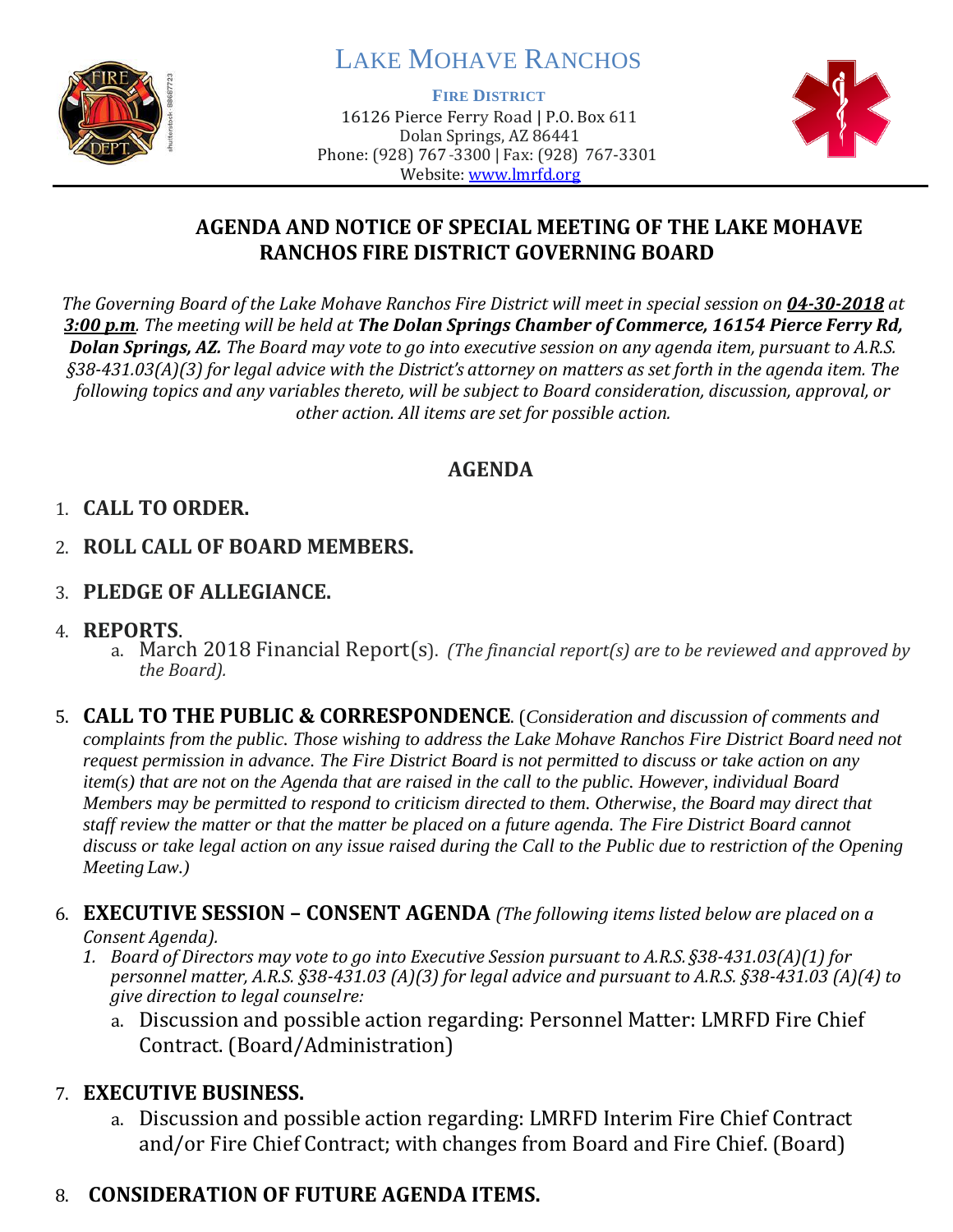

# LAKE MOHAVE RANCHOS

**FIRE DISTRICT**

16126 Pierce Ferry Road | P.O. Box 611 Dolan Springs, AZ 86441 Phone: (928) 767-3300 | Fax: (928) 767-3301 Website: [www.lmrfd.org](http://www.lmrfd.org/)



### **AGENDA AND NOTICE OF SPECIAL MEETING OF THE LAKE MOHAVE RANCHOS FIRE DISTRICT GOVERNING BOARD**

*The Governing Board of the Lake Mohave Ranchos Fire District will meet in special session on 04-30-2018 at 3:00 p.m. The meeting will be held at The Dolan Springs Chamber of Commerce, 16154 Pierce Ferry Rd, Dolan Springs, AZ. The Board may vote to go into executive session on any agenda item, pursuant to A.R.S. §38-431.03(A)(3) for legal advice with the District's attorney on matters as set forth in the agenda item. The following topics and any variables thereto, will be subject to Board consideration, discussion, approval, or other action. All items are set for possible action.*

# **AGENDA**

### 1. **CALL TO ORDER.**

- 2. **ROLL CALL OF BOARD MEMBERS.**
- 3. **PLEDGE OF ALLEGIANCE.**
- 4. **REPORTS**.
	- a. March 2018 Financial Report(s). *(The financial report(s) are to be reviewed and approved by the Board).*
- 5. **CALL TO THE PUBLIC & CORRESPONDENCE**. (*Consideration and discussion of comments and complaints from the public. Those wishing to address the Lake Mohave Ranchos Fire District Board need not request permission in advance. The Fire District Board is not permitted to discuss or take action on any item(s) that are not on the Agenda that are raised in the call to the public. However, individual Board Members may be permitted to respond to criticism directed to them. Otherwise, the Board may direct that staff review the matter or that the matter be placed on a future agenda. The Fire District Board cannot discuss or take legal action on any issue raised during the Call to the Public due to restriction of the Opening Meeting Law.)*

#### 6. **EXECUTIVE SESSION – CONSENT AGENDA** *(The following items listed below are placed on a Consent Agenda).*

- *1. Board of Directors may vote to go into Executive Session pursuant to A.R.S. §38-431.03(A)(1) for personnel matter, A.R.S. §38-431.03 (A)(3) for legal advice and pursuant to A.R.S. §38-431.03 (A)(4) to give direction to legal counselre:*
	- a. Discussion and possible action regarding: Personnel Matter: LMRFD Fire Chief Contract. (Board/Administration)

# 7. **EXECUTIVE BUSINESS.**

a. Discussion and possible action regarding: LMRFD Interim Fire Chief Contract and/or Fire Chief Contract; with changes from Board and Fire Chief. (Board)

# 8. **CONSIDERATION OF FUTURE AGENDA ITEMS.**